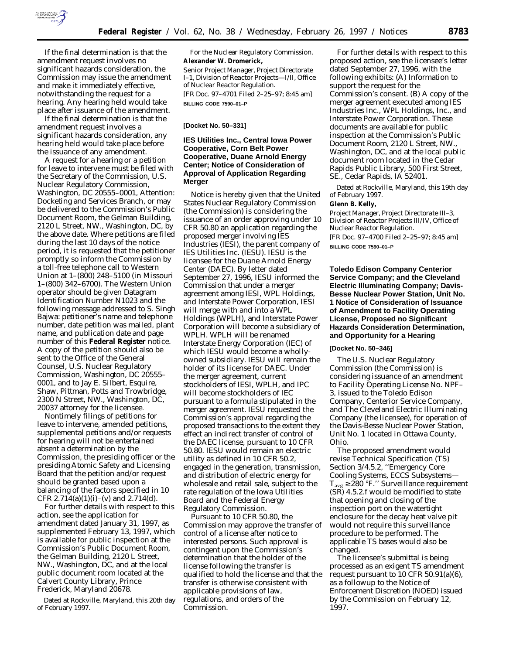

If the final determination is that the amendment request involves no significant hazards consideration, the Commission may issue the amendment and make it immediately effective, notwithstanding the request for a hearing. Any hearing held would take place after issuance of the amendment.

If the final determination is that the amendment request involves a significant hazards consideration, any hearing held would take place before the issuance of any amendment.

A request for a hearing or a petition for leave to intervene must be filed with the Secretary of the Commission, U.S. Nuclear Regulatory Commission, Washington, DC 20555–0001, Attention: Docketing and Services Branch, or may be delivered to the Commission's Public Document Room, the Gelman Building, 2120 L Street, NW., Washington, DC, by the above date. Where petitions are filed during the last 10 days of the notice period, it is requested that the petitioner promptly so inform the Commission by a toll-free telephone call to Western Union at 1–(800) 248–5100 (in Missouri 1–(800) 342–6700). The Western Union operator should be given Datagram Identification Number N1023 and the following message addressed to S. Singh Bajwa: petitioner's name and telephone number, date petition was mailed, plant name, and publication date and page number of this **Federal Register** notice. A copy of the petition should also be sent to the Office of the General Counsel, U.S. Nuclear Regulatory Commission, Washington, DC 20555– 0001, and to Jay E. Silbert, Esquire, Shaw, Pittman, Potts and Trowbridge, 2300 N Street, NW., Washington, DC, 20037 attorney for the licensee.

Nontimely filings of petitions for leave to intervene, amended petitions, supplemental petitions and/or requests for hearing will not be entertained absent a determination by the Commission, the presiding officer or the presiding Atomic Safety and Licensing Board that the petition and/or request should be granted based upon a balancing of the factors specified in 10 CFR 2.714(a)(1)(i)–(v) and 2.714(d).

For further details with respect to this action, see the application for amendment dated January 31, 1997, as supplemented February 13, 1997, which is available for public inspection at the Commission's Public Document Room, the Gelman Building, 2120 L Street, NW., Washington, DC, and at the local public document room located at the Calvert County Library, Prince Frederick, Maryland 20678.

Dated at Rockville, Maryland, this 20th day of February 1997.

For the Nuclear Regulatory Commission. **Alexander W. Dromerick,** *Senior Project Manager, Project Directorate I–1, Division of Reactor Projects—I/II, Office of Nuclear Reactor Regulation.* [FR Doc. 97–4701 Filed 2–25–97; 8:45 am] **BILLING CODE 7590–01–P**

## **[Docket No. 50–331]**

## **IES Utilities Inc., Central Iowa Power Cooperative, Corn Belt Power Cooperative, Duane Arnold Energy Center; Notice of Consideration of Approval of Application Regarding Merger**

Notice is hereby given that the United States Nuclear Regulatory Commission (the Commission) is considering the issuance of an order approving under 10 CFR 50.80 an application regarding the proposed merger involving IES Industries (IESI), the parent company of IES Utilities Inc. (IESU). IESU is the licensee for the Duane Arnold Energy Center (DAEC). By letter dated September 27, 1996, IESU informed the Commission that under a merger agreement among IESI, WPL Holdings, and Interstate Power Corporation, IESI will merge with and into a WPL Holdings (WPLH), and Interstate Power Corporation will become a subsidiary of WPLH. WPLH will be renamed Interstate Energy Corporation (IEC) of which IESU would become a whollyowned subsidiary. IESU will remain the holder of its license for DAEC. Under the merger agreement, current stockholders of IESI, WPLH, and IPC will become stockholders of IEC pursuant to a formula stipulated in the merger agreement. IESU requested the Commission's approval regarding the proposed transactions to the extent they effect an indirect transfer of control of the DAEC license, pursuant to 10 CFR 50.80. IESU would remain an electric utility as defined in 10 CFR 50.2, engaged in the generation, transmission, and distribution of electric energy for wholesale and retail sale, subject to the rate regulation of the Iowa Utilities Board and the Federal Energy Regulatory Commission.

Pursuant to 10 CFR 50.80, the Commission may approve the transfer of control of a license after notice to interested persons. Such approval is contingent upon the Commission's determination that the holder of the license following the transfer is qualified to hold the license and that the transfer is otherwise consistent with applicable provisions of law, regulations, and orders of the Commission.

For further details with respect to this proposed action, see the licensee's letter dated September 27, 1996, with the following exhibits: (A) Information to support the request for the Commission's consent. (B) A copy of the merger agreement executed among IES Industries Inc., WPL Holdings, Inc., and Interstate Power Corporation. These documents are available for public inspection at the Commission's Public Document Room, 2120 L Street, NW., Washington, DC, and at the local public document room located in the Cedar Rapids Public Library, 500 First Street, SE., Cedar Rapids, IA 52401.

Dated at Rockville, Maryland, this 19th day of February 1997.

**Glenn B. Kelly,**

*Project Manager, Project Directorate III–3, Division of Reactor Projects III/IV, Office of Nuclear Reactor Regulation.* [FR Doc. 97–4700 Filed 2–25–97; 8:45 am]

**BILLING CODE 7590–01–P**

**Toledo Edison Company Centerior Service Company; and the Cleveland Electric Illuminating Company; Davis-Besse Nuclear Power Station, Unit No. 1 Notice of Consideration of Issuance of Amendment to Facility Operating License, Proposed no Significant Hazards Consideration Determination, and Opportunity for a Hearing**

## **[Docket No. 50–346]**

The U.S. Nuclear Regulatory Commission (the Commission) is considering issuance of an amendment to Facility Operating License No. NPF– 3, issued to the Toledo Edison Company, Centerior Service Company, and The Cleveland Electric Illuminating Company (the licensee), for operation of the Davis-Besse Nuclear Power Station, Unit No. 1 located in Ottawa County, Ohio.

The proposed amendment would revise Technical Specification (TS) Section 3/4.5.2, ''Emergency Core Cooling Systems, ECCS Subsystems—  $T_{avg} \ge 280$  °F." Surveillance requirement (SR) 4.5.2.f would be modified to state that opening and closing of the inspection port on the watertight enclosure for the decay heat valve pit would not require this surveillance procedure to be performed. The applicable TS bases would also be changed.

The licensee's submittal is being processed as an exigent TS amendment request pursuant to 10 CFR  $50.91(a)(6)$ , as a followup to the Notice of Enforcement Discretion (NOED) issued by the Commission on February 12, 1997.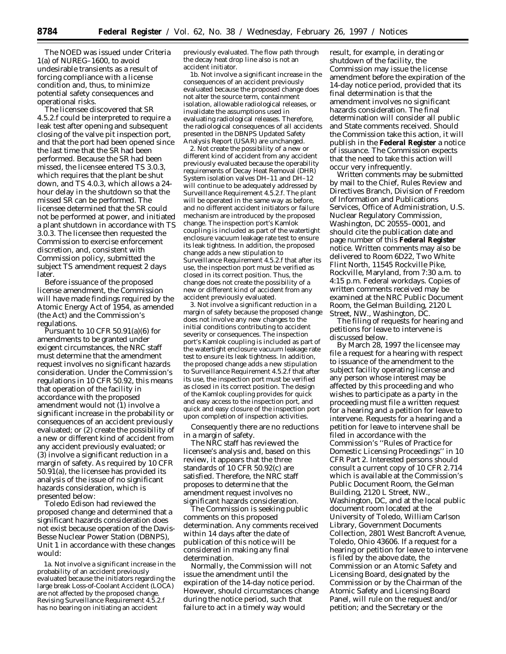The NOED was issued under Criteria 1(a) of NUREG–1600, to avoid undesirable transients as a result of forcing compliance with a license condition and, thus, to minimize potential safety consequences and operational risks.

The licensee discovered that SR 4.5.2.f could be interpreted to require a leak test after opening and subsequent closing of the valve pit inspection port, and that the port had been opened since the last time that the SR had been performed. Because the SR had been missed, the licensee entered TS 3.0.3, which requires that the plant be shut down, and TS 4.0.3, which allows a 24 hour delay in the shutdown so that the missed SR can be performed. The licensee determined that the SR could not be performed at power, and initiated a plant shutdown in accordance with TS 3.0.3. The licensee then requested the Commission to exercise enforcement discretion, and, consistent with Commission policy, submitted the subject TS amendment request 2 days later.

Before issuance of the proposed license amendment, the Commission will have made findings required by the Atomic Energy Act of 1954, as amended (the Act) and the Commission's regulations.

Pursuant to 10 CFR  $50.91(a)(6)$  for amendments to be granted under exigent circumstances, the NRC staff must determine that the amendment request involves no significant hazards consideration. Under the Commission's regulations in 10 CFR 50.92, this means that operation of the facility in accordance with the proposed amendment would not (1) involve a significant increase in the probability or consequences of an accident previously evaluated; or (2) create the possibility of a new or different kind of accident from any accident previously evaluated; or (3) involve a significant reduction in a margin of safety. As required by 10 CFR 50.91(a), the licensee has provided its analysis of the issue of no significant hazards consideration, which is presented below:

Toledo Edison had reviewed the proposed change and determined that a significant hazards consideration does not exist because operation of the Davis-Besse Nuclear Power Station (DBNPS), Unit 1 in accordance with these changes would:

1a. Not involve a significant increase in the probability of an accident previously evaluated because the initiators regarding the large break Loss-of-Coolant Accident (LOCA) are not affected by the proposed change. Revising Surveillance Requirement 4.5.2.f has no bearing on initiating an accident

previously evaluated. The flow path through the decay heat drop line also is not an accident initiator.

1b. Not involve a significant increase in the consequences of an accident previously evaluated because the proposed change does not alter the source term, containment isolation, allowable radiological releases, or invalidate the assumptions used in evaluating radiological releases. Therefore, the radiological consequences of all accidents presented in the DBNPS Updated Safety Analysis Report (USAR) are unchanged.

2. Not create the possibility of a new or different kind of accident from any accident previously evaluated because the operability requirements of Decay Heat Removal (DHR) System isolation valves DH–11 and DH–12 will continue to be adequately addressed by Surveillance Requirement 4.5.2.f. The plant will be operated in the same way as before, and no different accident initiators or failure mechanism are introduced by the proposed change. The inspection port's Kamlok coupling is included as part of the watertight enclosure vacuum leakage rate test to ensure its leak tightness. In addition, the proposed change adds a new stipulation to Surveillance Requirement 4.5.2.f that after its use, the inspection port must be verified as closed in its correct position. Thus, the change does not create the possibility of a new or different kind of accident from any accident previously evaluated.

3. Not involve a significant reduction in a margin of safety because the proposed change does not involve any new changes to the initial conditions contributing to accident severity or consequences. The inspection port's Kamlok coupling is included as part of the watertight enclosure vacuum leakage rate test to ensure its leak tightness. In addition, the proposed change adds a new stipulation to Surveillance Requirement 4.5.2.f that after its use, the inspection port must be verified as closed in its correct position. The design of the Kamlok coupling provides for quick and easy access to the inspection port, and quick and easy closure of the inspection port upon completion of inspection activities.

Consequently there are no reductions in a margin of safety.

The NRC staff has reviewed the licensee's analysis and, based on this review, it appears that the three standards of 10 CFR 50.92(c) are satisfied. Therefore, the NRC staff proposes to determine that the amendment request involves no significant hazards consideration.

The Commission is seeking public comments on this proposed determination. Any comments received within 14 days after the date of publication of this notice will be considered in making any final determination.

Normally, the Commission will not issue the amendment until the expiration of the 14-day notice period. However, should circumstances change during the notice period, such that failure to act in a timely way would

result, for example, in derating or shutdown of the facility, the Commission may issue the license amendment before the expiration of the 14-day notice period, provided that its final determination is that the amendment involves no significant hazards consideration. The final determination will consider all public and State comments received. Should the Commission take this action, it will publish in the **Federal Register** a notice of issuance. The Commission expects that the need to take this action will occur very infrequently.

Written comments may be submitted by mail to the Chief, Rules Review and Directives Branch, Division of Freedom of Information and Publications Services, Office of Administration, U.S. Nuclear Regulatory Commission, Washington, DC 20555–0001, and should cite the publication date and page number of this **Federal Register** notice. Written comments may also be delivered to Room 6D22, Two White Flint North, 11545 Rockville Pike, Rockville, Maryland, from 7:30 a.m. to 4:15 p.m. Federal workdays. Copies of written comments received may be examined at the NRC Public Document Room, the Gelman Building, 2120 L Street, NW., Washington, DC.

The filing of requests for hearing and petitions for leave to intervene is discussed below.

By March 28, 1997 the licensee may file a request for a hearing with respect to issuance of the amendment to the subject facility operating license and any person whose interest may be affected by this proceeding and who wishes to participate as a party in the proceeding must file a written request for a hearing and a petition for leave to intervene. Requests for a hearing and a petition for leave to intervene shall be filed in accordance with the Commission's ''Rules of Practice for Domestic Licensing Proceedings'' in 10 CFR Part 2. Interested persons should consult a current copy of 10 CFR 2.714 which is available at the Commission's Public Document Room, the Gelman Building, 2120 L Street, NW., Washington, DC, and at the local public document room located at the University of Toledo, William Carlson Library, Government Documents Collection, 2801 West Bancroft Avenue, Toledo, Ohio 43606. If a request for a hearing or petition for leave to intervene is filed by the above date, the Commission or an Atomic Safety and Licensing Board, designated by the Commission or by the Chairman of the Atomic Safety and Licensing Board Panel, will rule on the request and/or petition; and the Secretary or the